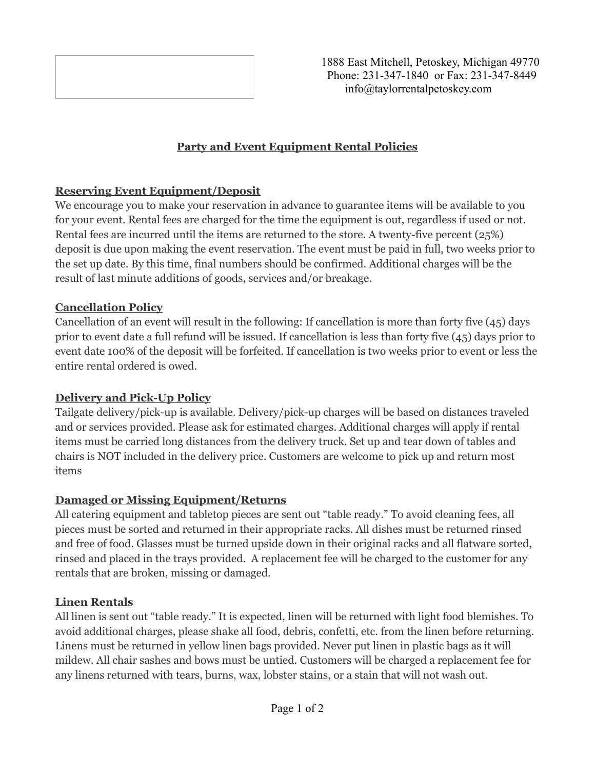

1888 East Mitchell, Petoskey, Michigan 49770 Phone: 231-347-1840 or Fax: 231-347-8449 info@taylorrentalpetoskey.com

## **Party and Event Equipment Rental Policies**

## **Reserving Event Equipment/Deposit**

We encourage you to make your reservation in advance to guarantee items will be available to you for your event. Rental fees are charged for the time the equipment is out, regardless if used or not. Rental fees are incurred until the items are returned to the store. A twenty-five percent (25%) deposit is due upon making the event reservation. The event must be paid in full, two weeks prior to the set up date. By this time, final numbers should be confirmed. Additional charges will be the result of last minute additions of goods, services and/or breakage.

## **Cancellation Policy**

Cancellation of an event will result in the following: If cancellation is more than forty five (45) days prior to event date a full refund will be issued. If cancellation is less than forty five (45) days prior to event date 100% of the deposit will be forfeited. If cancellation is two weeks prior to event or less the entire rental ordered is owed.

## **Delivery and Pick-Up Policy**

Tailgate delivery/pick-up is available. Delivery/pick-up charges will be based on distances traveled and or services provided. Please ask for estimated charges. Additional charges will apply if rental items must be carried long distances from the delivery truck. Set up and tear down of tables and chairs is NOT included in the delivery price. Customers are welcome to pick up and return most items

# **Damaged or Missing Equipment/Returns**

All catering equipment and tabletop pieces are sent out "table ready." To avoid cleaning fees, all pieces must be sorted and returned in their appropriate racks. All dishes must be returned rinsed and free of food. Glasses must be turned upside down in their original racks and all flatware sorted, rinsed and placed in the trays provided. A replacement fee will be charged to the customer for any rentals that are broken, missing or damaged.

## **Linen Rentals**

All linen is sent out "table ready." It is expected, linen will be returned with light food blemishes. To avoid additional charges, please shake all food, debris, confetti, etc. from the linen before returning. Linens must be returned in yellow linen bags provided. Never put linen in plastic bags as it will mildew. All chair sashes and bows must be untied. Customers will be charged a replacement fee for any linens returned with tears, burns, wax, lobster stains, or a stain that will not wash out.